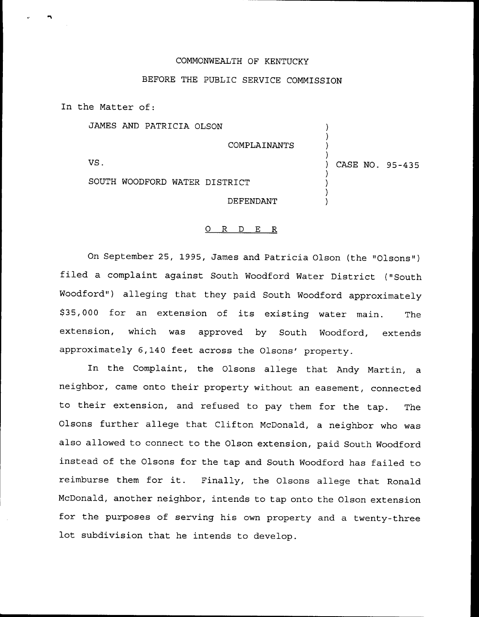## COMMONWEALTH OF KENTUCKY

## BEFORE THE PUBLIC SERVICE COMMISSION

In the Matter of:

JAMES AND PATRICIA OLSON

COMPLAINANTS VS. SOUTH WOODFORD WATER DISTRICT DEFENDANT ) ) ) ) CASE NO. 95-435 ) ) ) )

)

## 0 R <sup>D</sup> E R

On September 25, 1995, James and Patricia Olson (the "Olsons") filed <sup>a</sup> complaint against South Woodford Water District ("South Woodford") alleging that they paid South Woodford approximately \$ 35,000 for an extension of its existing water main. The extension, which was approved by South Woodford, extends approximately 6,140 feet across the Olsons' property.

In the Complaint, the Olsons allege that Andy Martin, a neighbor, came onto their property without an easement, connected to their extension, and refused to pay them for the tap. The Olsons further allege that Clifton McDonald, a neighbor who was also allowed to connect to the Olson extension, paid South Woodford instead of the Olsons for the tap and South Woodford has failed to reimburse them for it. Finally, the Olsons allege that Ronald McDonald, another neighbor, intends to tap onto the Olson extension for the purposes of serving his own property and a twenty-three lot subdivision that he intends to develop.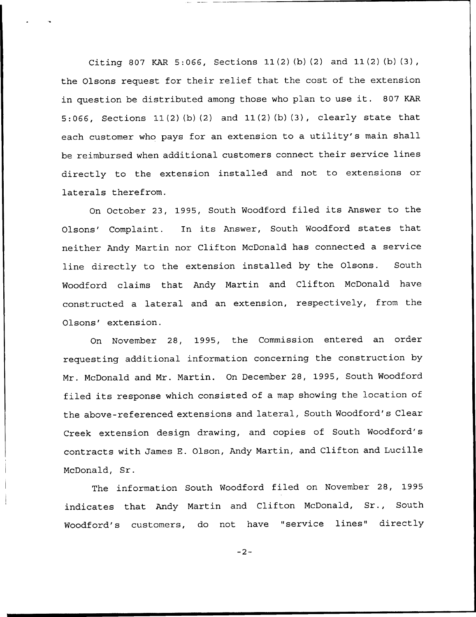Citing 807 KAR 5:066, Sections 11(2) (b) (2) and 11(2) (b) (3), the Olsons request for their relief that the cost of the extension in question be distributed among those who plan to use it. <sup>807</sup> KAR 5:066, Sections 11(2) (b) (2) and 11(2) (b) (3), clearly state that each customer who pays for an extension to <sup>a</sup> utility's main shall be reimbursed when additional customers connect their service lines directly to the extension installed and not to extensions or laterals therefrom.

On October 23, 1995, South Woodford filed its Answer to the Olsons' Complaint. In its Answer, South Woodford states that neither Andy Martin nor Clifton McDonald has connected a service line directly to the extension installed by the Olsons. South Woodford claims that Andy Martin and Clifton McDonald have constructed a lateral and an extension, respectively, from the Olsons' extension.

On November 28, 1995, the Commission entered an order requesting additional information concerning the construction by Mr. McDonald and Mr. Martin. On December 28, 1995, South Woodford filed its response which consisted of a map showing the location of the above-referenced extensions and lateral, South Woodford's Clear Creek extension design drawing, and copies of South Woodford's contracts with James E. Olson, Andy Martin, and Clifton and Lucille McDonald, Sr.

The information South Woodford filed on November 28, 1995 indicates that Andy Martin and Clifton McDonald, Sr., South Woodford's customers, do not have "service lines" directly

 $-2-$